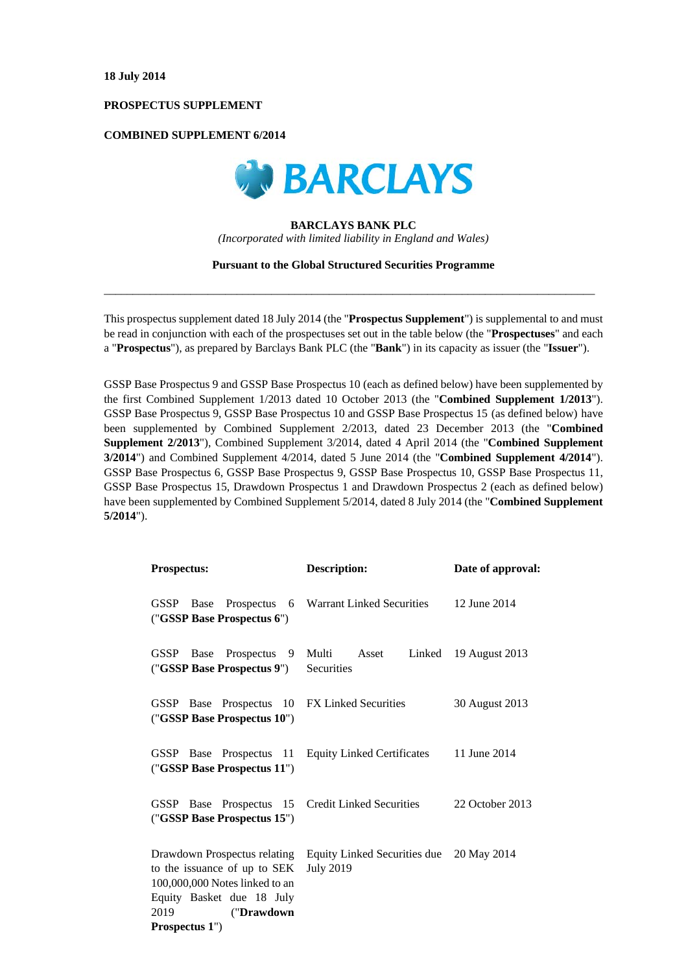## **PROSPECTUS SUPPLEMENT**

# **COMBINED SUPPLEMENT 6/2014**



## **BARCLAYS BANK PLC**

*(Incorporated with limited liability in England and Wales)* 

### **Pursuant to the Global Structured Securities Programme**

 $\_$  , and the set of the set of the set of the set of the set of the set of the set of the set of the set of the set of the set of the set of the set of the set of the set of the set of the set of the set of the set of th

This prospectus supplement dated 18 July 2014 (the "**Prospectus Supplement**") is supplemental to and must be read in conjunction with each of the prospectuses set out in the table below (the "**Prospectuses**" and each a "**Prospectus**"), as prepared by Barclays Bank PLC (the "**Bank**") in its capacity as issuer (the "**Issuer**").

GSSP Base Prospectus 9 and GSSP Base Prospectus 10 (each as defined below) have been supplemented by the first Combined Supplement 1/2013 dated 10 October 2013 (the "**Combined Supplement 1/2013**"). GSSP Base Prospectus 9, GSSP Base Prospectus 10 and GSSP Base Prospectus 15 (as defined below) have been supplemented by Combined Supplement 2/2013, dated 23 December 2013 (the "**Combined Supplement 2/2013**"), Combined Supplement 3/2014, dated 4 April 2014 (the "**Combined Supplement 3/2014**") and Combined Supplement 4/2014, dated 5 June 2014 (the "**Combined Supplement 4/2014**"). GSSP Base Prospectus 6, GSSP Base Prospectus 9, GSSP Base Prospectus 10, GSSP Base Prospectus 11, GSSP Base Prospectus 15, Drawdown Prospectus 1 and Drawdown Prospectus 2 (each as defined below) have been supplemented by Combined Supplement 5/2014, dated 8 July 2014 (the "**Combined Supplement 5/2014**").

| <b>Prospectus:</b>                                                                                                                                                  | <b>Description:</b>                                          | Date of approval: |  |
|---------------------------------------------------------------------------------------------------------------------------------------------------------------------|--------------------------------------------------------------|-------------------|--|
| Prospectus<br>GSSP<br>Base<br>- 6<br>("GSSP Base Prospectus 6")                                                                                                     | Warrant Linked Securities                                    | 12 June 2014      |  |
| Prospectus 9<br>GSSP Base<br>("GSSP Base Prospectus 9")                                                                                                             | Multi Asset<br>Linked<br>Securities                          | 19 August 2013    |  |
| GSSP Base Prospectus 10 FX Linked Securities<br>("GSSP Base Prospectus 10")                                                                                         |                                                              | 30 August 2013    |  |
| GSSP Base Prospectus 11<br>("GSSP Base Prospectus 11")                                                                                                              | <b>Equity Linked Certificates</b>                            | 11 June 2014      |  |
| GSSP Base Prospectus 15<br>("GSSP Base Prospectus 15")                                                                                                              | <b>Credit Linked Securities</b>                              | 22 October 2013   |  |
| Drawdown Prospectus relating<br>to the issuance of up to SEK<br>100,000,000 Notes linked to an<br>Equity Basket due 18 July<br>2019<br>("Drawdown<br>Prospectus 1") | Equity Linked Securities due 20 May 2014<br><b>July 2019</b> |                   |  |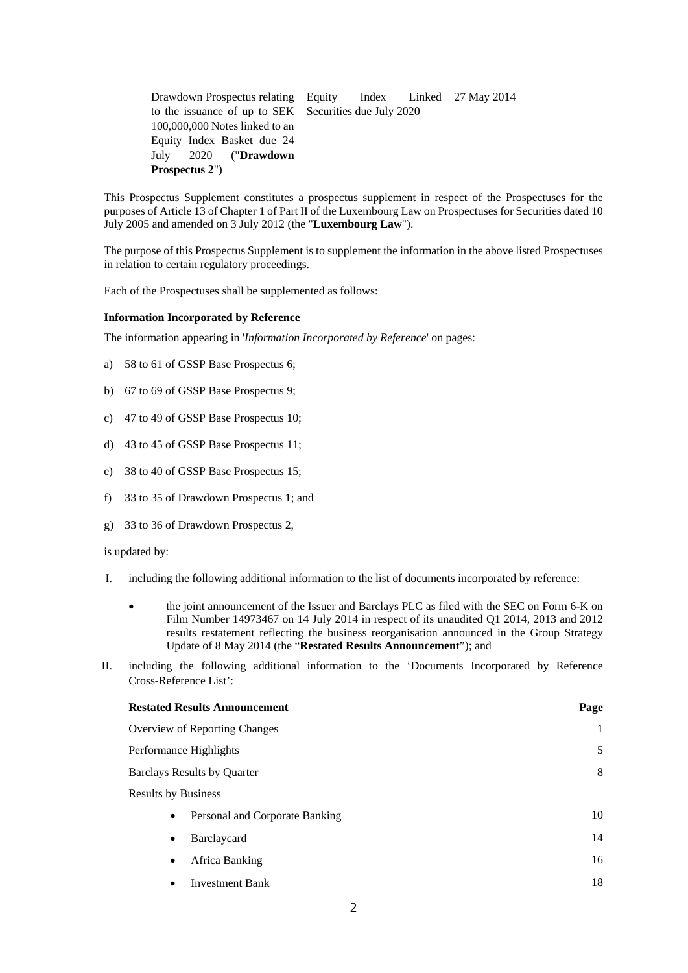| Drawdown Prospectus relating Equity Index Linked 27 May 2014 |  |  |  |  |  |
|--------------------------------------------------------------|--|--|--|--|--|
| to the issuance of up to SEK Securities due July 2020        |  |  |  |  |  |
| 100,000,000 Notes linked to an                               |  |  |  |  |  |
| Equity Index Basket due 24                                   |  |  |  |  |  |
| July 2020 (" <b>Drawdown</b>                                 |  |  |  |  |  |
| <b>Prospectus 2"</b> )                                       |  |  |  |  |  |

This Prospectus Supplement constitutes a prospectus supplement in respect of the Prospectuses for the purposes of Article 13 of Chapter 1 of Part II of the Luxembourg Law on Prospectuses for Securities dated 10 July 2005 and amended on 3 July 2012 (the "**Luxembourg Law**").

The purpose of this Prospectus Supplement is to supplement the information in the above listed Prospectuses in relation to certain regulatory proceedings.

Each of the Prospectuses shall be supplemented as follows:

### **Information Incorporated by Reference**

The information appearing in '*Information Incorporated by Reference*' on pages:

- a) 58 to 61 of GSSP Base Prospectus 6;
- b) 67 to 69 of GSSP Base Prospectus 9;
- c) 47 to 49 of GSSP Base Prospectus 10;
- d) 43 to 45 of GSSP Base Prospectus 11;
- e) 38 to 40 of GSSP Base Prospectus 15;
- f) 33 to 35 of Drawdown Prospectus 1; and
- g) 33 to 36 of Drawdown Prospectus 2,

is updated by:

- I. including the following additional information to the list of documents incorporated by reference:
	- the joint announcement of the Issuer and Barclays PLC as filed with the SEC on Form 6-K on Film Number 14973467 on 14 July 2014 in respect of its unaudited Q1 2014, 2013 and 2012 results restatement reflecting the business reorganisation announced in the Group Strategy Update of 8 May 2014 (the "**Restated Results Announcement**"); and
- II. including the following additional information to the 'Documents Incorporated by Reference Cross-Reference List':

| <b>Restated Results Announcement</b>        | Page |
|---------------------------------------------|------|
| Overview of Reporting Changes               | 1    |
| Performance Highlights                      | 5    |
| <b>Barclays Results by Quarter</b>          | 8    |
| <b>Results by Business</b>                  |      |
| Personal and Corporate Banking<br>$\bullet$ | 10   |
| Barclaycard<br>$\bullet$                    | 14   |
| Africa Banking<br>$\bullet$                 | 16   |
| <b>Investment Bank</b><br>٠                 | 18   |